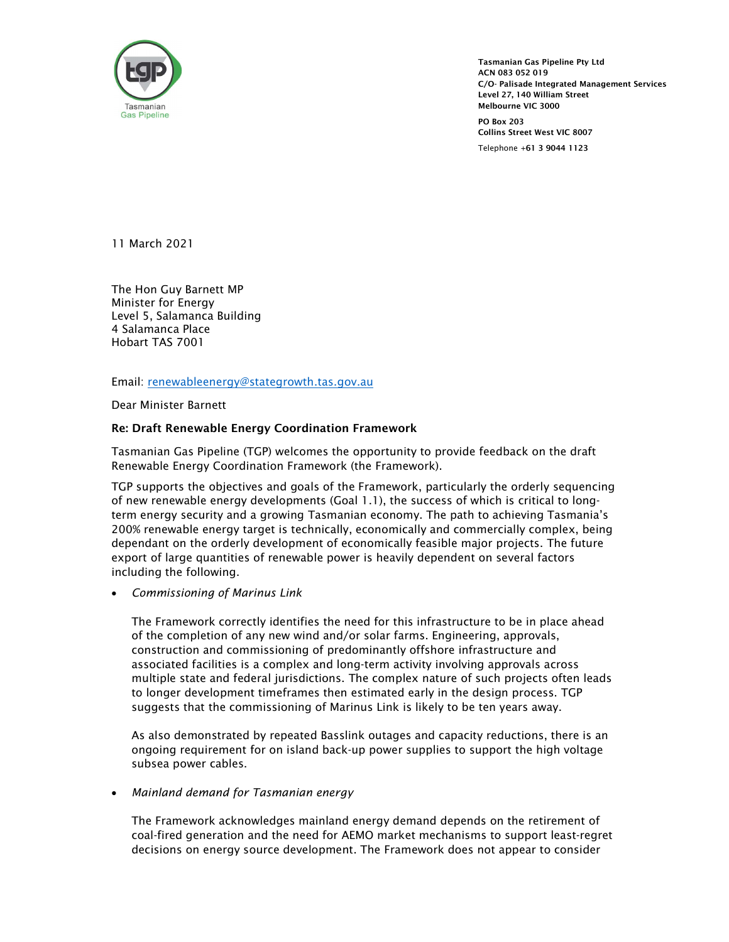

Tasmanian Gas Pipeline Pty Ltd<br>
ACN 083 052 019<br>
C/O- Palisade Integrated Management Services<br>
Level 27, 140 William Street<br>
Tasmanian<br>
Gas Pipeline<br>
Po Pay 202 ACN 083 052 019 C/O- Palisade Integrated Management Services Level 27, 140 William Street Melbourne VIC 3000

PO Box 203 Collins Street West VIC 8007 Telephone +61 3 9044 1123

11 March 2021

The Hon Guy Barnett MP Minister for Energy Level 5, Salamanca Building 4 Salamanca Place Hobart TAS 7001

Email: <u>renewableenergy@stategrowth.tas.gov.au</u><br>Dear Minister Barnett

## Re: Draft Renewable Energy Coordination Framework

Tasmanian Gas Pipeline (TGP) welcomes the opportunity to provide feedback on the draft Renewable Energy Coordination Framework (the Framework).

TGP supports the objectives and goals of the Framework, particularly the orderly sequencing of new renewable energy developments (Goal 1.1), the success of which is critical to longterm energy security and a growing Tasmanian economy. The path to achieving Tasmania's 200% renewable energy target is technically, economically and commercially complex, being dependant on the orderly development of economically feasible major projects. The future export of large quantities of renewable power is heavily dependent on several factors including the following.

Commissioning of Marinus Link

The Framework correctly identifies the need for this infrastructure to be in place ahead of the completion of any new wind and/or solar farms. Engineering, approvals, construction and commissioning of predominantly offshore infrastructure and associated facilities is a complex and long-term activity involving approvals across multiple state and federal jurisdictions. The complex nature of such projects often leads to longer development timeframes then estimated early in the design process. TGP suggests that the commissioning of Marinus Link is likely to be ten years away.

As also demonstrated by repeated Basslink outages and capacity reductions, there is an ongoing requirement for on island back-up power supplies to support the high voltage subsea power cables.

#### Mainland demand for Tasmanian energy

The Framework acknowledges mainland energy demand depends on the retirement of coal-fired generation and the need for AEMO market mechanisms to support least-regret decisions on energy source development. The Framework does not appear to consider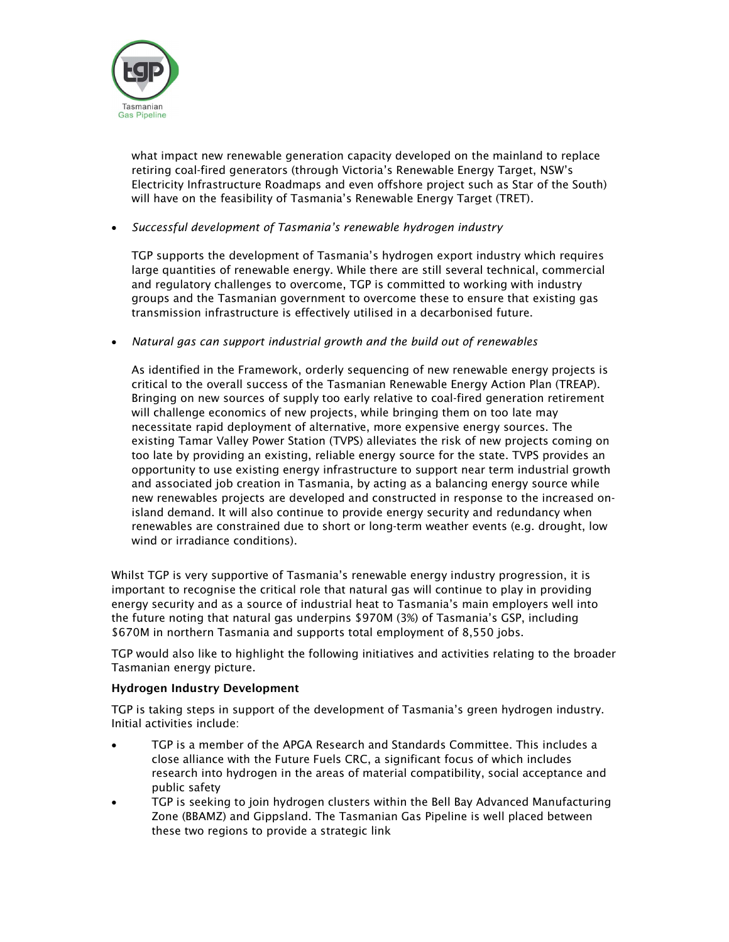

what impact new renewable generation capacity developed on the mainland to replace retiring coal-fired generators (through Victoria's Renewable Energy Target, NSW's Electricity Infrastructure Roadmaps and even offshore project such as Star of the South) will have on the feasibility of Tasmania's Renewable Energy Target (TRET).

# Successful development of Tasmania's renewable hydrogen industry

TGP supports the development of Tasmania's hydrogen export industry which requires large quantities of renewable energy. While there are still several technical, commercial and regulatory challenges to overcome, TGP is committed to working with industry groups and the Tasmanian government to overcome these to ensure that existing gas transmission infrastructure is effectively utilised in a decarbonised future.

Natural gas can support industrial growth and the build out of renewables

As identified in the Framework, orderly sequencing of new renewable energy projects is critical to the overall success of the Tasmanian Renewable Energy Action Plan (TREAP). Bringing on new sources of supply too early relative to coal-fired generation retirement will challenge economics of new projects, while bringing them on too late may necessitate rapid deployment of alternative, more expensive energy sources. The existing Tamar Valley Power Station (TVPS) alleviates the risk of new projects coming on too late by providing an existing, reliable energy source for the state. TVPS provides an opportunity to use existing energy infrastructure to support near term industrial growth and associated job creation in Tasmania, by acting as a balancing energy source while new renewables projects are developed and constructed in response to the increased onisland demand. It will also continue to provide energy security and redundancy when renewables are constrained due to short or long-term weather events (e.g. drought, low wind or irradiance conditions).

Whilst TGP is very supportive of Tasmania's renewable energy industry progression, it is important to recognise the critical role that natural gas will continue to play in providing energy security and as a source of industrial heat to Tasmania's main employers well into the future noting that natural gas underpins \$970M (3%) of Tasmania's GSP, including \$670M in northern Tasmania and supports total employment of 8,550 jobs.

TGP would also like to highlight the following initiatives and activities relating to the broader Tasmanian energy picture.

## Hydrogen Industry Development

TGP is taking steps in support of the development of Tasmania's green hydrogen industry. Initial activities include:

- TGP is a member of the APGA Research and Standards Committee. This includes a close alliance with the Future Fuels CRC, a significant focus of which includes research into hydrogen in the areas of material compatibility, social acceptance and public safety
- TGP is seeking to join hydrogen clusters within the Bell Bay Advanced Manufacturing Zone (BBAMZ) and Gippsland. The Tasmanian Gas Pipeline is well placed between these two regions to provide a strategic link